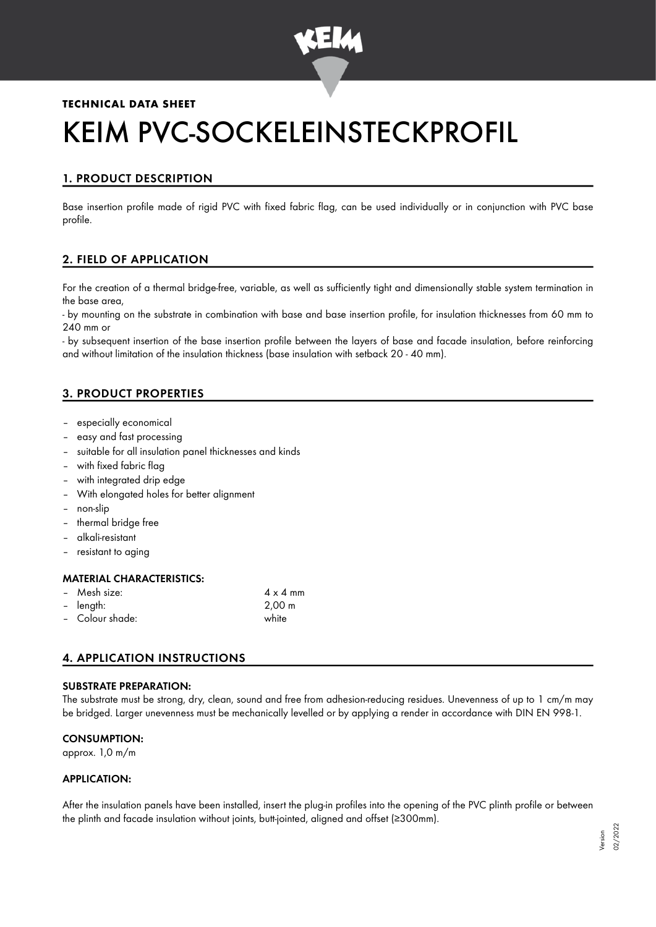

## **TECHNICAL DATA SHEET**

# KEIM PVC-SOCKELEINSTECKPROFIL

# 1. PRODUCT DESCRIPTION

Base insertion profile made of rigid PVC with fixed fabric flag, can be used individually or in conjunction with PVC base profile.

## 2. FIELD OF APPLICATION

For the creation of a thermal bridge-free, variable, as well as sufficiently tight and dimensionally stable system termination in the base area,

- by mounting on the substrate in combination with base and base insertion profile, for insulation thicknesses from 60 mm to 240 mm or

- by subsequent insertion of the base insertion profile between the layers of base and facade insulation, before reinforcing and without limitation of the insulation thickness (base insulation with setback 20 - 40 mm).

## 3. PRODUCT PROPERTIES

- especially economical
- easy and fast processing
- suitable for all insulation panel thicknesses and kinds
- with fixed fabric flag
- with integrated drip edge
- With elongated holes for better alignment
- non-slip
- thermal bridge free
- alkali-resistant
- resistant to aging

#### MATERIAL CHARACTERISTICS:

| - Mesh size:    | $4 \times 4$ mm    |
|-----------------|--------------------|
| - length:       | $2,00 \; \text{m}$ |
| - Colour shade: | white              |

## 4. APPLICATION INSTRUCTIONS

#### SUBSTRATE PREPARATION:

The substrate must be strong, dry, clean, sound and free from adhesion-reducing residues. Unevenness of up to 1 cm/m may be bridged. Larger unevenness must be mechanically levelled or by applying a render in accordance with DIN EN 998-1.

#### CONSUMPTION:

approx. 1,0 m/m

#### APPLICATION:

After the insulation panels have been installed, insert the plug-in profiles into the opening of the PVC plinth profile or between the plinth and facade insulation without joints, butt-jointed, aligned and offset (≥300mm).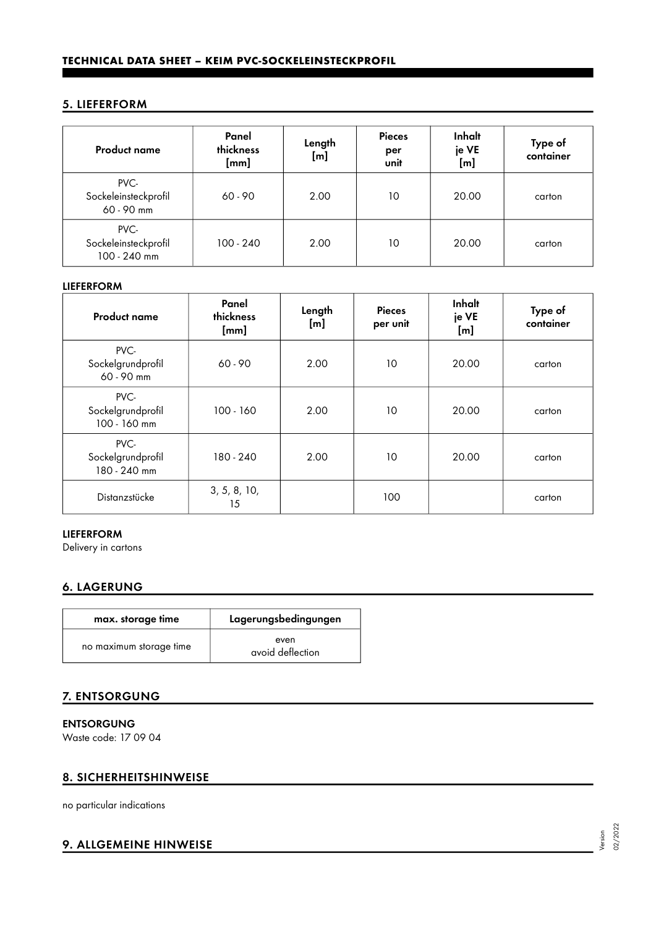## 5. LIEFERFORM

| <b>Product name</b>                          | Panel<br>thickness<br>[mm] | Length<br>[m] | <b>Pieces</b><br>per<br>unit | Inhalt<br>je VE<br>[m] | Type of<br>container |
|----------------------------------------------|----------------------------|---------------|------------------------------|------------------------|----------------------|
| PVC-<br>Sockeleinsteckprofil<br>60 - 90 mm   | $60 - 90$                  | 2.00          | 10                           | 20.00                  | carton               |
| PVC-<br>Sockeleinsteckprofil<br>100 - 240 mm | $100 - 240$                | 2.00          | 10                           | 20.00                  | carton               |

#### LIEFERFORM

| <b>Product name</b>                       | Panel<br>thickness<br>[mm] | Length<br>[m] | <b>Pieces</b><br>per unit | Inhalt<br>je VE<br>[m] | Type of<br>container |
|-------------------------------------------|----------------------------|---------------|---------------------------|------------------------|----------------------|
| PVC-<br>Sockelgrundprofil<br>60 - 90 mm   | $60 - 90$                  | 2.00          | 10                        | 20.00                  | carton               |
| PVC-<br>Sockelgrundprofil<br>100 - 160 mm | $100 - 160$                | 2.00          | 10                        | 20.00                  | carton               |
| PVC-<br>Sockelgrundprofil<br>180 - 240 mm | 180 - 240                  | 2.00          | 10                        | 20.00                  | carton               |
| Distanzstücke                             | 3, 5, 8, 10,<br>15         |               | 100                       |                        | carton               |

#### LIEFERFORM

Delivery in cartons

# 6. LAGERUNG

| max. storage time       | Lagerungsbedingungen     |
|-------------------------|--------------------------|
| no maximum storage time | even<br>avoid deflection |

## 7. ENTSORGUNG

ENTSORGUNG

Waste code: 17 09 04

## 8. SICHERHEITSHINWEISE

no particular indications

## 9. ALLGEMEINE HINWEISE

Version 02/2022